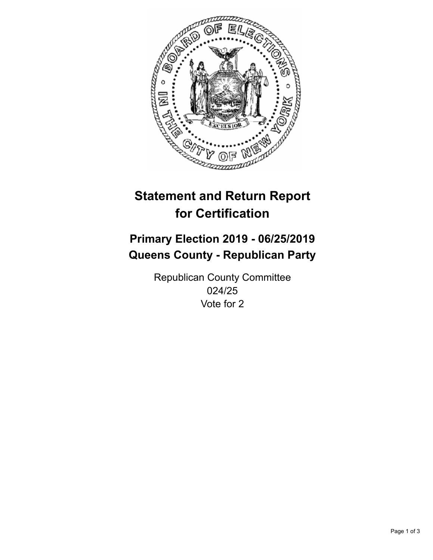

## **Statement and Return Report for Certification**

## **Primary Election 2019 - 06/25/2019 Queens County - Republican Party**

Republican County Committee 024/25 Vote for 2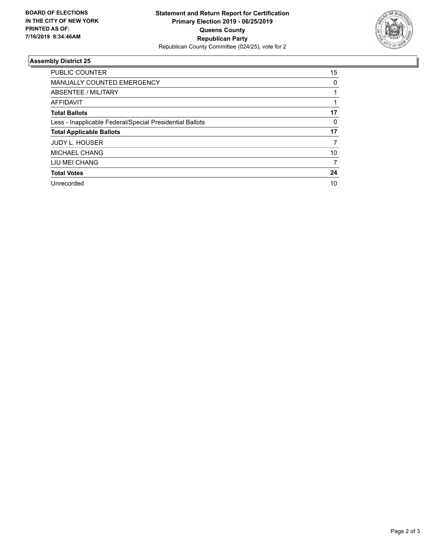

## **Assembly District 25**

| <b>PUBLIC COUNTER</b>                                    | 15 |
|----------------------------------------------------------|----|
| <b>MANUALLY COUNTED EMERGENCY</b>                        | 0  |
| ABSENTEE / MILITARY                                      |    |
| AFFIDAVIT                                                |    |
| <b>Total Ballots</b>                                     | 17 |
| Less - Inapplicable Federal/Special Presidential Ballots | 0  |
| <b>Total Applicable Ballots</b>                          | 17 |
| <b>JUDY L. HOUSER</b>                                    | 7  |
| MICHAEL CHANG                                            | 10 |
| LIU MEI CHANG                                            | 7  |
| <b>Total Votes</b>                                       | 24 |
| Unrecorded                                               | 10 |